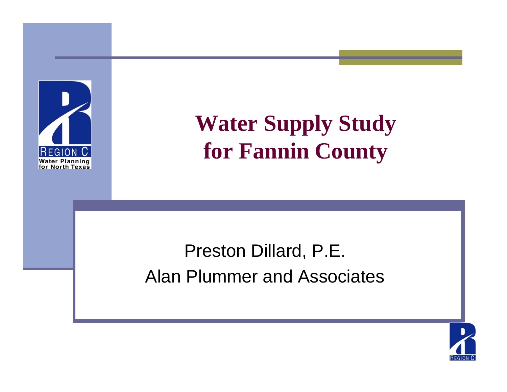

### **Water Supply Study for Fannin County**

#### Preston Dillard, P.E. Alan Plummer and Associates

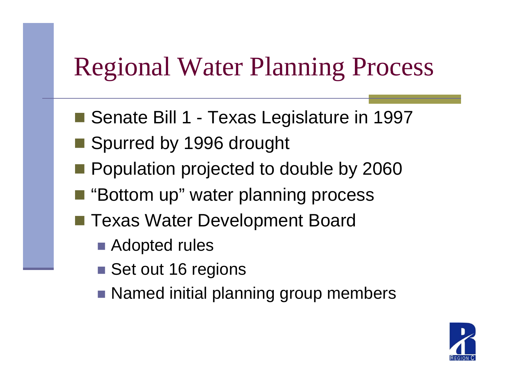### Regional Water Planning Process

- Senate Bill 1 -Texas Legislature in 1997
- Spurred by 1996 drought
- **Population projected to double by 2060**
- i<br>Politika "Bottom up" water planning process
- Texas Water Development Board
	- Adopted rules
	- Set out 16 regions
	- Named initial planning group members

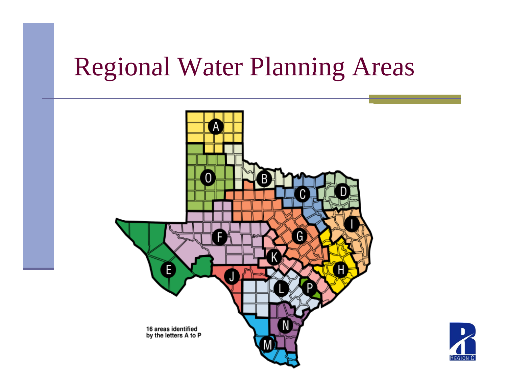### Regional Water Planning Areas



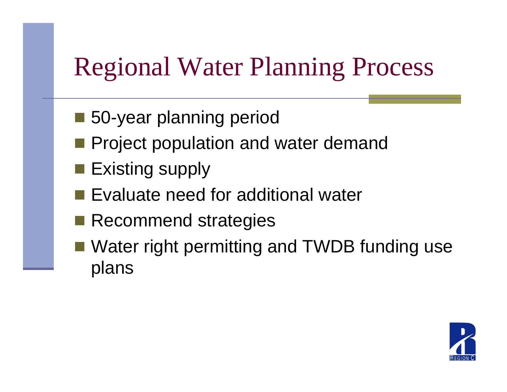### Regional Water Planning Process

- 50-year planning period
- **Project population and water demand**
- $\blacksquare$  Existing supply
- **Exaluate need for additional water**
- **Recommend strategies**
- Water right permitting and TWDB funding use plans

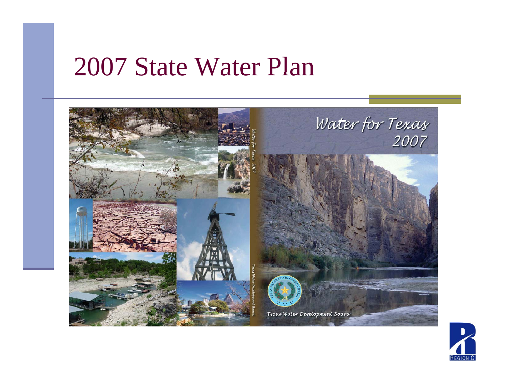#### State Water Plan



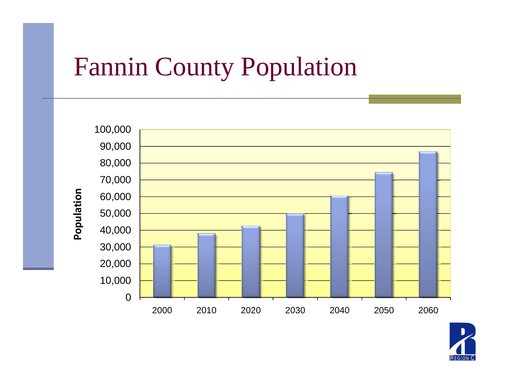### Fannin County Population



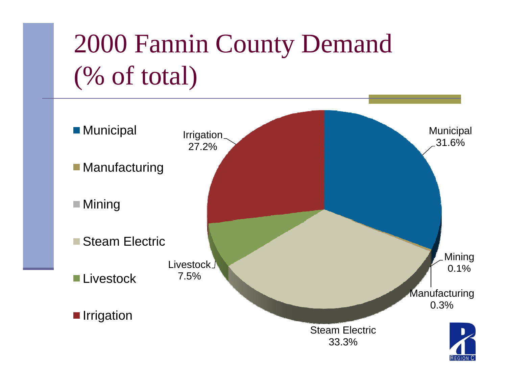## 2000 Fannin County Demand (% of total)

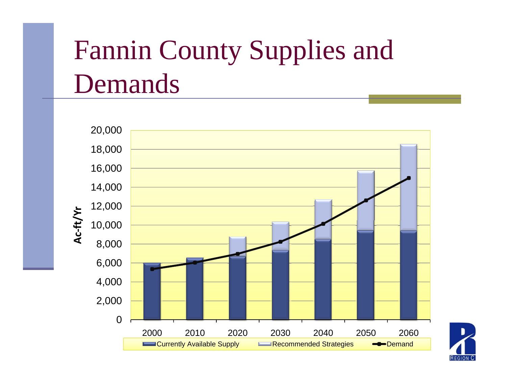## Fannin County Supplies and Demands



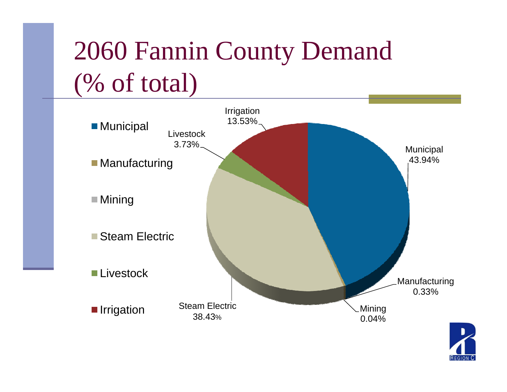## 2060 Fannin County Demand (% of total)



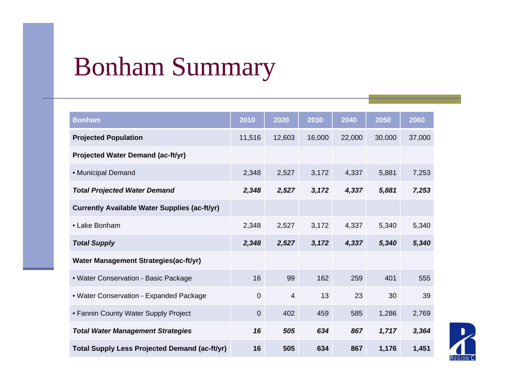### Bonham Summary

| <b>Bonham</b>                                        | 2010           | 2020           | 2030   | 2040   | 2050   | 2060   |
|------------------------------------------------------|----------------|----------------|--------|--------|--------|--------|
| <b>Projected Population</b>                          | 11,516         | 12,603         | 16,000 | 22,000 | 30,000 | 37,000 |
| Projected Water Demand (ac-ft/yr)                    |                |                |        |        |        |        |
| • Municipal Demand                                   | 2,348          | 2,527          | 3,172  | 4,337  | 5,881  | 7,253  |
| <b>Total Projected Water Demand</b>                  | 2,348          | 2,527          | 3,172  | 4,337  | 5,881  | 7,253  |
| <b>Currently Available Water Supplies (ac-ft/yr)</b> |                |                |        |        |        |        |
| • Lake Bonham                                        | 2,348          | 2,527          | 3,172  | 4,337  | 5,340  | 5,340  |
| <b>Total Supply</b>                                  | 2,348          | 2,527          | 3,172  | 4,337  | 5,340  | 5,340  |
| Water Management Strategies(ac-ft/yr)                |                |                |        |        |        |        |
| • Water Conservation - Basic Package                 | 16             | 99             | 162    | 259    | 401    | 555    |
| • Water Conservation - Expanded Package              | $\overline{0}$ | $\overline{4}$ | 13     | 23     | 30     | 39     |
| • Fannin County Water Supply Project                 | $\mathbf 0$    | 402            | 459    | 585    | 1,286  | 2,769  |
| <b>Total Water Management Strategies</b>             | 16             | 505            | 634    | 867    | 1,717  | 3,364  |
| <b>Total Supply Less Projected Demand (ac-ft/yr)</b> | 16             | 505            | 634    | 867    | 1,176  | 1,451  |

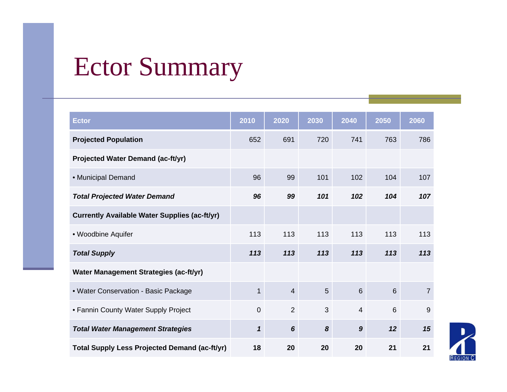### Ector Summary

| <b>Ector</b>                                         | 2010           | 2020            | 2030           | 2040             | 2050           | 2060           |
|------------------------------------------------------|----------------|-----------------|----------------|------------------|----------------|----------------|
| <b>Projected Population</b>                          | 652            | 691             | 720            | 741              | 763            | 786            |
| Projected Water Demand (ac-ft/yr)                    |                |                 |                |                  |                |                |
| • Municipal Demand                                   | 96             | 99              | 101            | 102              | 104            | 107            |
| <b>Total Projected Water Demand</b>                  | 96             | 99              | 101            | 102              | 104            | 107            |
| <b>Currently Available Water Supplies (ac-ft/yr)</b> |                |                 |                |                  |                |                |
| • Woodbine Aquifer                                   | 113            | 113             | 113            | 113              | 113            | 113            |
| <b>Total Supply</b>                                  | 113            | 113             | 113            | 113              | 113            | 113            |
| Water Management Strategies (ac-ft/yr)               |                |                 |                |                  |                |                |
| • Water Conservation - Basic Package                 | $\mathbf{1}$   | $\overline{4}$  | $5\phantom{.}$ | $6\phantom{1}$   | 6              | $\overline{7}$ |
| • Fannin County Water Supply Project                 | $\overline{0}$ | $\overline{2}$  | 3              | $\overline{4}$   | $6\phantom{1}$ | 9              |
| <b>Total Water Management Strategies</b>             | $\mathbf{1}$   | $6\phantom{1}6$ | 8              | $\boldsymbol{9}$ | 12             | 15             |
| <b>Total Supply Less Projected Demand (ac-ft/yr)</b> | 18             | 20              | 20             | 20               | 21             | 21             |

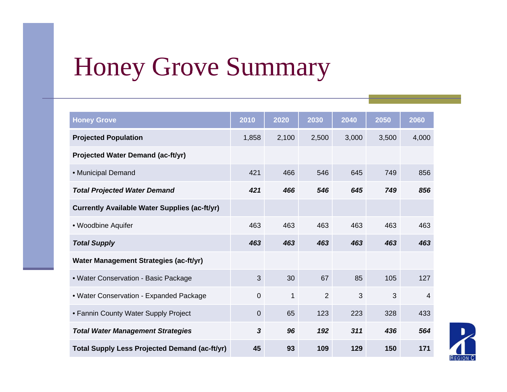### Honey Grove Summary

| <b>Honey Grove</b>                                   | 2010           | 2020         | 2030           | 2040  | 2050  | 2060           |
|------------------------------------------------------|----------------|--------------|----------------|-------|-------|----------------|
| <b>Projected Population</b>                          | 1,858          | 2,100        | 2,500          | 3,000 | 3,500 | 4,000          |
| <b>Projected Water Demand (ac-ft/yr)</b>             |                |              |                |       |       |                |
| • Municipal Demand                                   | 421            | 466          | 546            | 645   | 749   | 856            |
| <b>Total Projected Water Demand</b>                  | 421            | 466          | 546            | 645   | 749   | 856            |
| <b>Currently Available Water Supplies (ac-ft/yr)</b> |                |              |                |       |       |                |
| • Woodbine Aquifer                                   | 463            | 463          | 463            | 463   | 463   | 463            |
| <b>Total Supply</b>                                  | 463            | 463          | 463            | 463   | 463   | 463            |
| Water Management Strategies (ac-ft/yr)               |                |              |                |       |       |                |
| • Water Conservation - Basic Package                 | 3              | 30           | 67             | 85    | 105   | 127            |
| • Water Conservation - Expanded Package              | $\overline{0}$ | $\mathbf{1}$ | $\overline{2}$ | 3     | 3     | $\overline{4}$ |
| • Fannin County Water Supply Project                 | $\overline{0}$ | 65           | 123            | 223   | 328   | 433            |
| <b>Total Water Management Strategies</b>             | $\mathbf{3}$   | 96           | 192            | 311   | 436   | 564            |
| <b>Total Supply Less Projected Demand (ac-ft/yr)</b> | 45             | 93           | 109            | 129   | 150   | 171            |

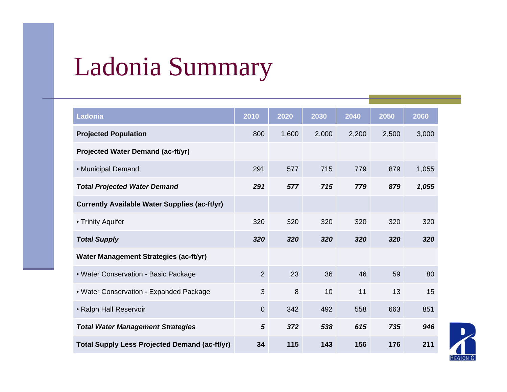### Ladonia Summary

| Ladonia                                              | 2010           | 2020  | 2030  | 2040  | 2050  | 2060  |
|------------------------------------------------------|----------------|-------|-------|-------|-------|-------|
| <b>Projected Population</b>                          | 800            | 1,600 | 2,000 | 2,200 | 2,500 | 3,000 |
| <b>Projected Water Demand (ac-ft/yr)</b>             |                |       |       |       |       |       |
| • Municipal Demand                                   | 291            | 577   | 715   | 779   | 879   | 1,055 |
| <b>Total Projected Water Demand</b>                  | 291            | 577   | 715   | 779   | 879   | 1,055 |
| <b>Currently Available Water Supplies (ac-ft/yr)</b> |                |       |       |       |       |       |
| • Trinity Aquifer                                    | 320            | 320   | 320   | 320   | 320   | 320   |
| <b>Total Supply</b>                                  | 320            | 320   | 320   | 320   | 320   | 320   |
| Water Management Strategies (ac-ft/yr)               |                |       |       |       |       |       |
| • Water Conservation - Basic Package                 | $\overline{2}$ | 23    | 36    | 46    | 59    | 80    |
| • Water Conservation - Expanded Package              | 3              | 8     | 10    | 11    | 13    | 15    |
| • Ralph Hall Reservoir                               | 0              | 342   | 492   | 558   | 663   | 851   |
| <b>Total Water Management Strategies</b>             | 5              | 372   | 538   | 615   | 735   | 946   |
| <b>Total Supply Less Projected Demand (ac-ft/yr)</b> | 34             | 115   | 143   | 156   | 176   | 211   |

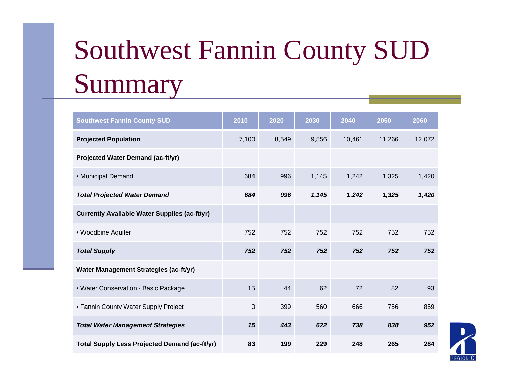# Southwest Fannin County SUD Summary

| <b>Southwest Fannin County SUD</b>                   | 2010  | 2020  | 2030  | 2040   | 2050   | 2060   |
|------------------------------------------------------|-------|-------|-------|--------|--------|--------|
| <b>Projected Population</b>                          | 7,100 | 8,549 | 9,556 | 10,461 | 11,266 | 12,072 |
| <b>Projected Water Demand (ac-ft/yr)</b>             |       |       |       |        |        |        |
| • Municipal Demand                                   | 684   | 996   | 1,145 | 1,242  | 1,325  | 1,420  |
| <b>Total Projected Water Demand</b>                  | 684   | 996   | 1,145 | 1,242  | 1,325  | 1,420  |
| <b>Currently Available Water Supplies (ac-ft/yr)</b> |       |       |       |        |        |        |
| • Woodbine Aquifer                                   | 752   | 752   | 752   | 752    | 752    | 752    |
| <b>Total Supply</b>                                  | 752   | 752   | 752   | 752    | 752    | 752    |
| Water Management Strategies (ac-ft/yr)               |       |       |       |        |        |        |
| • Water Conservation - Basic Package                 | 15    | 44    | 62    | 72     | 82     | 93     |
| • Fannin County Water Supply Project                 | 0     | 399   | 560   | 666    | 756    | 859    |
| <b>Total Water Management Strategies</b>             | 15    | 443   | 622   | 738    | 838    | 952    |
| <b>Total Supply Less Projected Demand (ac-ft/yr)</b> | 83    | 199   | 229   | 248    | 265    | 284    |

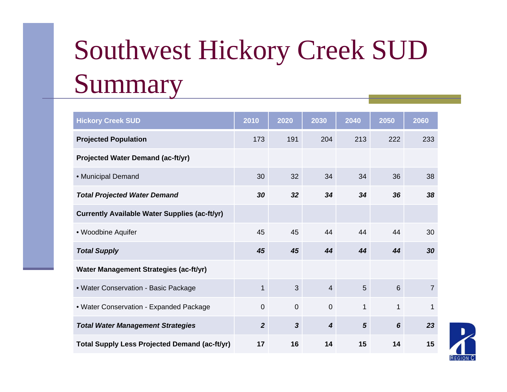# Southwest Hickory Creek SUD Summary

| <b>Hickory Creek SUD</b>                             | 2010           | 2020                    | 2030             | 2040           | 2050           | 2060           |
|------------------------------------------------------|----------------|-------------------------|------------------|----------------|----------------|----------------|
| <b>Projected Population</b>                          | 173            | 191                     | 204              | 213            | 222            | 233            |
| <b>Projected Water Demand (ac-ft/yr)</b>             |                |                         |                  |                |                |                |
| • Municipal Demand                                   | 30             | 32                      | 34               | 34             | 36             | 38             |
| <b>Total Projected Water Demand</b>                  | 30             | 32                      | 34               | 34             | 36             | 38             |
| <b>Currently Available Water Supplies (ac-ft/yr)</b> |                |                         |                  |                |                |                |
| • Woodbine Aquifer                                   | 45             | 45                      | 44               | 44             | 44             | 30             |
| <b>Total Supply</b>                                  | 45             | 45                      | 44               | 44             | 44             | 30             |
| Water Management Strategies (ac-ft/yr)               |                |                         |                  |                |                |                |
| • Water Conservation - Basic Package                 | $\mathbf{1}$   | 3                       | $\overline{4}$   | 5              | 6              | $\overline{7}$ |
| • Water Conservation - Expanded Package              | $\mathbf 0$    | $\mathbf 0$             | $\mathbf 0$      | $\mathbf{1}$   | $\mathbf{1}$   | 1              |
| <b>Total Water Management Strategies</b>             | $\overline{2}$ | $\overline{\mathbf{3}}$ | $\boldsymbol{4}$ | $5\phantom{1}$ | $6\phantom{1}$ | 23             |
| <b>Total Supply Less Projected Demand (ac-ft/yr)</b> | 17             | 16                      | 14               | 15             | 14             | 15             |

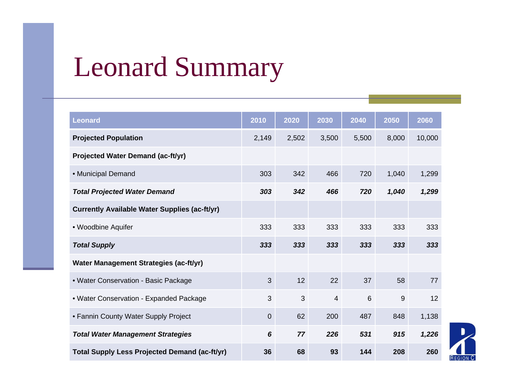### Leonard Summary

| <b>Leonard</b>                                       | 2010           | 2020  | 2030           | 2040  | 2050  | 2060   |
|------------------------------------------------------|----------------|-------|----------------|-------|-------|--------|
| <b>Projected Population</b>                          | 2,149          | 2,502 | 3,500          | 5,500 | 8,000 | 10,000 |
| <b>Projected Water Demand (ac-ft/yr)</b>             |                |       |                |       |       |        |
| • Municipal Demand                                   | 303            | 342   | 466            | 720   | 1,040 | 1,299  |
| <b>Total Projected Water Demand</b>                  | 303            | 342   | 466            | 720   | 1,040 | 1,299  |
| <b>Currently Available Water Supplies (ac-ft/yr)</b> |                |       |                |       |       |        |
| • Woodbine Aquifer                                   | 333            | 333   | 333            | 333   | 333   | 333    |
| <b>Total Supply</b>                                  | 333            | 333   | 333            | 333   | 333   | 333    |
| Water Management Strategies (ac-ft/yr)               |                |       |                |       |       |        |
| • Water Conservation - Basic Package                 | 3              | 12    | 22             | 37    | 58    | 77     |
| • Water Conservation - Expanded Package              | 3              | 3     | $\overline{4}$ | 6     | 9     | 12     |
| • Fannin County Water Supply Project                 | $\overline{0}$ | 62    | 200            | 487   | 848   | 1,138  |
| <b>Total Water Management Strategies</b>             | $6\phantom{1}$ | 77    | 226            | 531   | 915   | 1,226  |
| <b>Total Supply Less Projected Demand (ac-ft/yr)</b> | 36             | 68    | 93             | 144   | 208   | 260    |

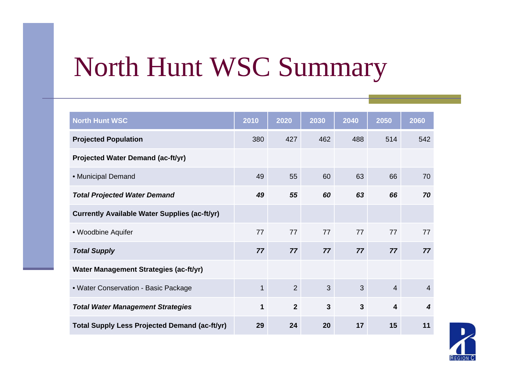### North Hunt WSC Summary

| <b>North Hunt WSC</b>                                | 2010         | 2020           | 2030         | 2040           | 2050                    | 2060 |
|------------------------------------------------------|--------------|----------------|--------------|----------------|-------------------------|------|
| <b>Projected Population</b>                          | 380          | 427            | 462          | 488            | 514                     | 542  |
| Projected Water Demand (ac-ft/yr)                    |              |                |              |                |                         |      |
| • Municipal Demand                                   | 49           | 55             | 60           | 63             | 66                      | 70   |
| <b>Total Projected Water Demand</b>                  | 49           | 55             | 60           | 63             | 66                      | 70   |
| <b>Currently Available Water Supplies (ac-ft/yr)</b> |              |                |              |                |                         |      |
| • Woodbine Aquifer                                   | 77           | 77             | 77           | 77             | 77                      | 77   |
| <b>Total Supply</b>                                  | 77           | 77             | 77           | 77             | 77                      | 77   |
| Water Management Strategies (ac-ft/yr)               |              |                |              |                |                         |      |
| • Water Conservation - Basic Package                 | $\mathbf{1}$ | 2              | 3            | 3              | $\overline{4}$          | 4    |
| <b>Total Water Management Strategies</b>             | $\mathbf{1}$ | $\overline{2}$ | $\mathbf{3}$ | $\overline{3}$ | $\overline{\mathbf{4}}$ | 4    |
| <b>Total Supply Less Projected Demand (ac-ft/yr)</b> | 29           | 24             | 20           | 17             | 15                      | 11   |

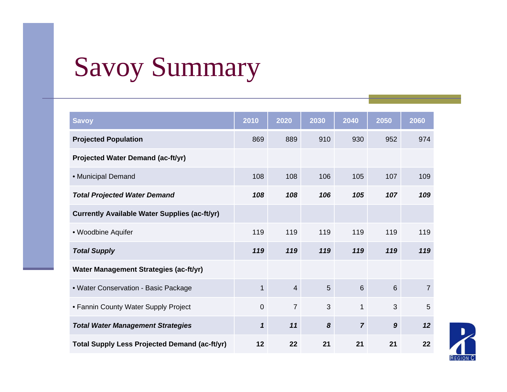## Savoy Summary

| <b>Savoy</b>                                         | 2010                       | 2020           | 2030 | 2040           | 2050             | 2060           |
|------------------------------------------------------|----------------------------|----------------|------|----------------|------------------|----------------|
| <b>Projected Population</b>                          | 869                        | 889            | 910  | 930            | 952              | 974            |
| <b>Projected Water Demand (ac-ft/yr)</b>             |                            |                |      |                |                  |                |
| · Municipal Demand                                   | 108                        | 108            | 106  | 105            | 107              | 109            |
| <b>Total Projected Water Demand</b>                  | 108                        | 108            | 106  | 105            | 107              | 109            |
| <b>Currently Available Water Supplies (ac-ft/yr)</b> |                            |                |      |                |                  |                |
| • Woodbine Aquifer                                   | 119                        | 119            | 119  | 119            | 119              | 119            |
| <b>Total Supply</b>                                  | 119                        | 119            | 119  | 119            | 119              | 119            |
| Water Management Strategies (ac-ft/yr)               |                            |                |      |                |                  |                |
| • Water Conservation - Basic Package                 | 1                          | $\overline{4}$ | 5    | $6\phantom{1}$ | $6\phantom{1}$   | $\overline{7}$ |
| • Fannin County Water Supply Project                 | $\mathbf 0$                | $\overline{7}$ | 3    | $\mathbf{1}$   | 3                | 5              |
| <b>Total Water Management Strategies</b>             | $\boldsymbol{\mathcal{L}}$ | 11             | 8    | $\overline{7}$ | $\boldsymbol{9}$ | 12             |
| Total Supply Less Projected Demand (ac-ft/yr)        | 12                         | 22             | 21   | 21             | 21               | 22             |

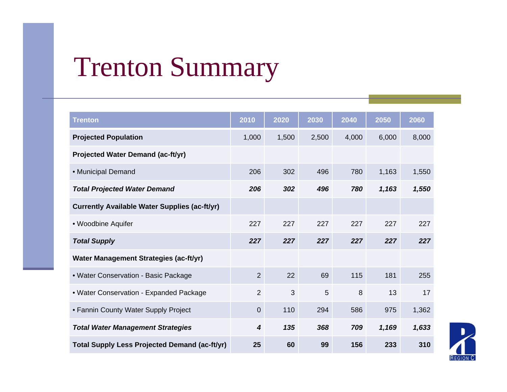### Trenton Summary

| <b>Trenton</b>                                       | 2010           | 2020  | 2030  | 2040  | 2050  | 2060  |
|------------------------------------------------------|----------------|-------|-------|-------|-------|-------|
| <b>Projected Population</b>                          | 1,000          | 1,500 | 2,500 | 4,000 | 6,000 | 8,000 |
| <b>Projected Water Demand (ac-ft/yr)</b>             |                |       |       |       |       |       |
| • Municipal Demand                                   | 206            | 302   | 496   | 780   | 1,163 | 1,550 |
| <b>Total Projected Water Demand</b>                  | 206            | 302   | 496   | 780   | 1,163 | 1,550 |
| <b>Currently Available Water Supplies (ac-ft/yr)</b> |                |       |       |       |       |       |
| • Woodbine Aquifer                                   | 227            | 227   | 227   | 227   | 227   | 227   |
| <b>Total Supply</b>                                  | 227            | 227   | 227   | 227   | 227   | 227   |
| Water Management Strategies (ac-ft/yr)               |                |       |       |       |       |       |
| • Water Conservation - Basic Package                 | 2              | 22    | 69    | 115   | 181   | 255   |
| • Water Conservation - Expanded Package              | $\overline{2}$ | 3     | 5     | 8     | 13    | 17    |
| • Fannin County Water Supply Project                 | $\overline{0}$ | 110   | 294   | 586   | 975   | 1,362 |
| <b>Total Water Management Strategies</b>             | 4              | 135   | 368   | 709   | 1,169 | 1,633 |
| <b>Total Supply Less Projected Demand (ac-ft/yr)</b> | 25             | 60    | 99    | 156   | 233   | 310   |

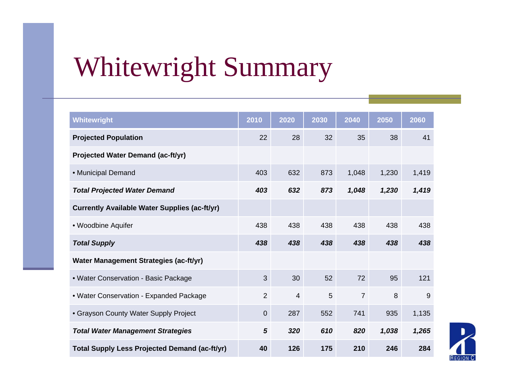### Whitewright Summary

| <b>Whitewright</b>                                   | 2010           | 2020           | 2030 | 2040           | 2050  | 2060  |
|------------------------------------------------------|----------------|----------------|------|----------------|-------|-------|
| <b>Projected Population</b>                          | 22             | 28             | 32   | 35             | 38    | 41    |
| Projected Water Demand (ac-ft/yr)                    |                |                |      |                |       |       |
| • Municipal Demand                                   | 403            | 632            | 873  | 1,048          | 1,230 | 1,419 |
| <b>Total Projected Water Demand</b>                  | 403            | 632            | 873  | 1,048          | 1,230 | 1,419 |
| <b>Currently Available Water Supplies (ac-ft/yr)</b> |                |                |      |                |       |       |
| • Woodbine Aquifer                                   | 438            | 438            | 438  | 438            | 438   | 438   |
| <b>Total Supply</b>                                  | 438            | 438            | 438  | 438            | 438   | 438   |
| Water Management Strategies (ac-ft/yr)               |                |                |      |                |       |       |
| • Water Conservation - Basic Package                 | 3              | 30             | 52   | 72             | 95    | 121   |
| • Water Conservation - Expanded Package              | $\overline{2}$ | $\overline{4}$ | 5    | $\overline{7}$ | 8     | 9     |
| • Grayson County Water Supply Project                | $\mathbf 0$    | 287            | 552  | 741            | 935   | 1,135 |
| <b>Total Water Management Strategies</b>             | 5              | 320            | 610  | 820            | 1,038 | 1,265 |
| <b>Total Supply Less Projected Demand (ac-ft/yr)</b> | 40             | 126            | 175  | 210            | 246   | 284   |

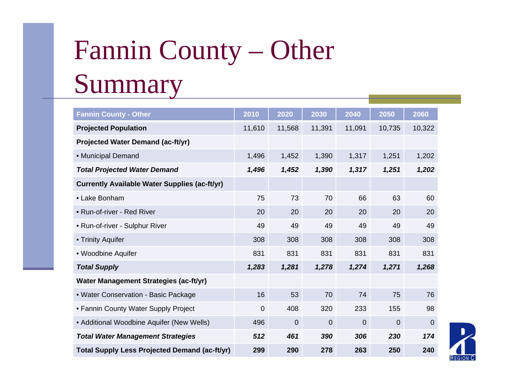# Fannin County – Other Summary

| <b>Fannin County - Other</b>                         | 2010     | 2020   | 2030           | 2040     | 2050           | 2060           |
|------------------------------------------------------|----------|--------|----------------|----------|----------------|----------------|
| <b>Projected Population</b>                          | 11,610   | 11,568 | 11,391         | 11,091   | 10,735         | 10,322         |
| <b>Projected Water Demand (ac-ft/yr)</b>             |          |        |                |          |                |                |
| • Municipal Demand                                   | 1,496    | 1,452  | 1,390          | 1,317    | 1,251          | 1,202          |
| <b>Total Projected Water Demand</b>                  | 1,496    | 1,452  | 1,390          | 1,317    | 1,251          | 1,202          |
| <b>Currently Available Water Supplies (ac-ft/yr)</b> |          |        |                |          |                |                |
| • Lake Bonham                                        | 75       | 73     | 70             | 66       | 63             | 60             |
| • Run-of-river - Red River                           | 20       | 20     | 20             | 20       | 20             | 20             |
| • Run-of-river - Sulphur River                       | 49       | 49     | 49             | 49       | 49             | 49             |
| • Trinity Aquifer                                    | 308      | 308    | 308            | 308      | 308            | 308            |
| • Woodbine Aquifer                                   | 831      | 831    | 831            | 831      | 831            | 831            |
| <b>Total Supply</b>                                  | 1,283    | 1,281  | 1,278          | 1,274    | 1,271          | 1,268          |
| Water Management Strategies (ac-ft/yr)               |          |        |                |          |                |                |
| • Water Conservation - Basic Package                 | 16       | 53     | 70             | 74       | 75             | 76             |
| • Fannin County Water Supply Project                 | $\Omega$ | 408    | 320            | 233      | 155            | 98             |
| • Additional Woodbine Aquifer (New Wells)            | 496      | 0      | $\overline{0}$ | $\Omega$ | $\overline{0}$ | $\overline{0}$ |
| <b>Total Water Management Strategies</b>             | 512      | 461    | 390            | 306      | 230            | 174            |
| <b>Total Supply Less Projected Demand (ac-ft/yr)</b> | 299      | 290    | 278            | 263      | 250            | 240            |

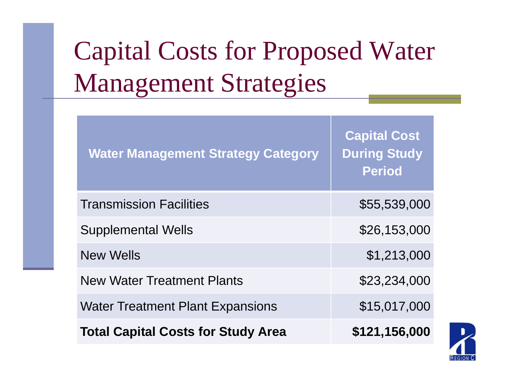## Capital Costs for Proposed Water Mana gement Strate gies

| <b>Water Management Strategy Category</b> | <b>Capital Cost</b><br><b>During Study</b><br><b>Period</b> |
|-------------------------------------------|-------------------------------------------------------------|
| <b>Transmission Facilities</b>            | \$55,539,000                                                |
| <b>Supplemental Wells</b>                 | \$26,153,000                                                |
| <b>New Wells</b>                          | \$1,213,000                                                 |
| <b>New Water Treatment Plants</b>         | \$23,234,000                                                |
| <b>Water Treatment Plant Expansions</b>   | \$15,017,000                                                |
| <b>Total Capital Costs for Study Area</b> | \$121,156,000                                               |

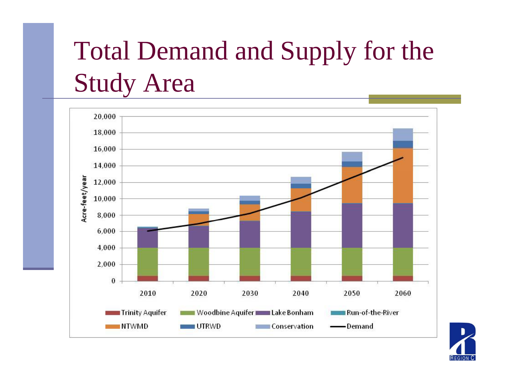## Total Demand and Supply for the Stud y Area



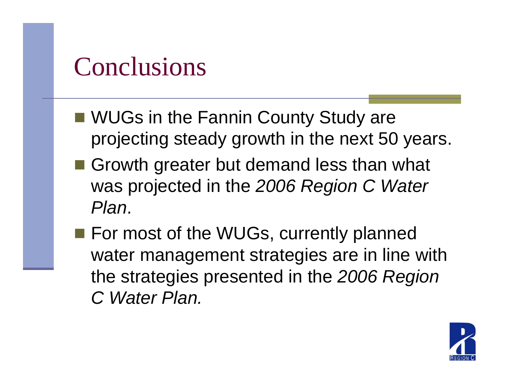#### **Conclusions**

- WUGs in the Fannin County Study are projecting steady growth in the next 50 years.
- Growth greater but demand less than what was projected in the *2006 Region C Water Plan*.
- For most of the WUGs, currently planned water management strategies are in line with the strategies presented in the 2006 *Region C Water Plan.*